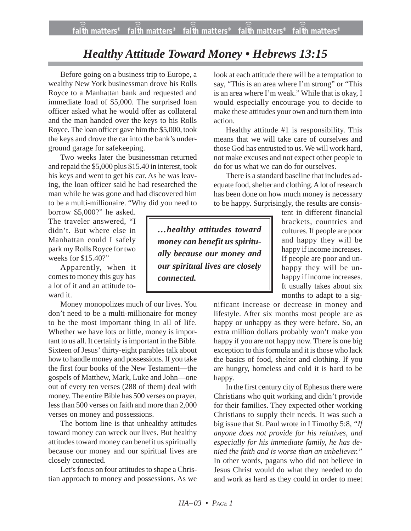## *Healthy Attitude Toward Money • Hebrews 13:15*

Before going on a business trip to Europe, a wealthy New York businessman drove his Rolls Royce to a Manhattan bank and requested and immediate load of \$5,000. The surprised loan officer asked what he would offer as collateral and the man handed over the keys to his Rolls Royce. The loan officer gave him the \$5,000, took the keys and drove the car into the bank's underground garage for safekeeping.

Two weeks later the businessman returned and repaid the \$5,000 plus \$15.40 in interest, took his keys and went to get his car. As he was leaving, the loan officer said he had researched the man while he was gone and had discovered him to be a multi-millionaire. "Why did you need to

borrow \$5,000?" he asked. The traveler answered, "I didn't. But where else in Manhattan could I safely park my Rolls Royce for two weeks for \$15.40?"

Apparently, when it comes to money this guy has a lot of it and an attitude toward it.

Money monopolizes much of our lives. You don't need to be a multi-millionaire for money to be the most important thing in all of life. Whether we have lots or little, money is important to us all. It certainly is important in the Bible. Sixteen of Jesus' thirty-eight parables talk about how to handle money and possessions. If you take the first four books of the New Testament—the gospels of Matthew, Mark, Luke and John—one out of every ten verses (288 of them) deal with money. The entire Bible has 500 verses on prayer, less than 500 verses on faith and more than 2,000 verses on money and possessions.

The bottom line is that unhealthy attitudes toward money can wreck our lives. But healthy attitudes toward money can benefit us spiritually because our money and our spiritual lives are closely connected.

Let's focus on four attitudes to shape a Christian approach to money and possessions. As we look at each attitude there will be a temptation to say, "This is an area where I'm strong" or "This is an area where I'm weak." While that is okay, I would especially encourage you to decide to make these attitudes your own and turn them into action.

Healthy attitude #1 is responsibility. This means that we will take care of ourselves and those God has entrusted to us. We will work hard, not make excuses and not expect other people to do for us what we can do for ourselves.

There is a standard baseline that includes adequate food, shelter and clothing. A lot of research has been done on how much money is necessary to be happy. Surprisingly, the results are consis-

*…healthy attitudes toward money can benefit us spiritually because our money and our spiritual lives are closely connected.*

tent in different financial brackets, countries and cultures. If people are poor and happy they will be happy if income increases. If people are poor and unhappy they will be unhappy if income increases. It usually takes about six months to adapt to a sig-

nificant increase or decrease in money and lifestyle. After six months most people are as happy or unhappy as they were before. So, an extra million dollars probably won't make you happy if you are not happy now. There is one big exception to this formula and it is those who lack the basics of food, shelter and clothing. If you are hungry, homeless and cold it is hard to be happy.

In the first century city of Ephesus there were Christians who quit working and didn't provide for their families. They expected other working Christians to supply their needs. It was such a big issue that St. Paul wrote in I Timothy 5:8, *"If anyone does not provide for his relatives, and especially for his immediate family, he has denied the faith and is worse than an unbeliever."* In other words, pagans who did not believe in Jesus Christ would do what they needed to do and work as hard as they could in order to meet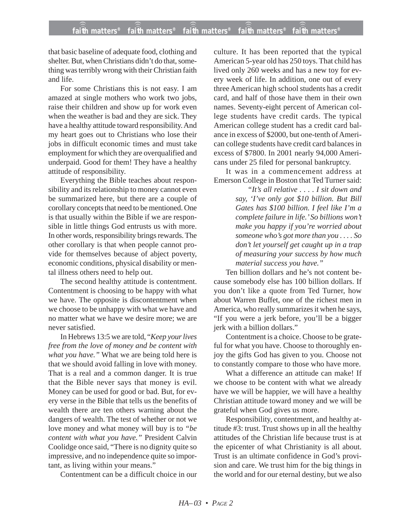that basic baseline of adequate food, clothing and shelter. But, when Christians didn't do that, something was terribly wrong with their Christian faith and life.

For some Christians this is not easy. I am amazed at single mothers who work two jobs, raise their children and show up for work even when the weather is bad and they are sick. They have a healthy attitude toward responsibility. And my heart goes out to Christians who lose their jobs in difficult economic times and must take employment for which they are overqualified and underpaid. Good for them! They have a healthy attitude of responsibility.

Everything the Bible teaches about responsibility and its relationship to money cannot even be summarized here, but there are a couple of corollary concepts that need to be mentioned. One is that usually within the Bible if we are responsible in little things God entrusts us with more. In other words, responsibility brings rewards. The other corollary is that when people cannot provide for themselves because of abject poverty, economic conditions, physical disability or mental illness others need to help out.

The second healthy attitude is contentment. Contentment is choosing to be happy with what we have. The opposite is discontentment when we choose to be unhappy with what we have and no matter what we have we desire more; we are never satisfied.

In Hebrews 13:5 we are told, "*Keep your lives free from the love of money and be content with what you have."* What we are being told here is that we should avoid falling in love with money. That is a real and a common danger. It is true that the Bible never says that money is evil. Money can be used for good or bad. But, for every verse in the Bible that tells us the benefits of wealth there are ten others warning about the dangers of wealth. The test of whether or not we love money and what money will buy is to *"be content with what you have."* President Calvin Coolidge once said, "There is no dignity quite so impressive, and no independence quite so important, as living within your means."

Contentment can be a difficult choice in our

culture. It has been reported that the typical American 5-year old has 250 toys. That child has lived only 260 weeks and has a new toy for every week of life. In addition, one out of every three American high school students has a credit card, and half of those have them in their own names. Seventy-eight percent of American college students have credit cards. The typical American college student has a credit card balance in excess of \$2000, but one-tenth of American college students have credit card balances in excess of \$7800. In 2001 nearly 94,000 Americans under 25 filed for personal bankruptcy.

It was in a commencement address at Emerson College in Boston that Ted Turner said:

> *"It's all relative . . . . I sit down and say, 'I've only got \$10 billion. But Bill Gates has \$100 billion. I feel like I'm a complete failure in life.' So billions won't make you happy if you're worried about someone who's got more than you . . . . So don't let yourself get caught up in a trap of measuring your success by how much material success you have."*

Ten billion dollars and he's not content because somebody else has 100 billion dollars. If you don't like a quote from Ted Turner, how about Warren Buffet, one of the richest men in America, who really summarizes it when he says, "If you were a jerk before, you'll be a bigger jerk with a billion dollars."

Contentment is a choice. Choose to be grateful for what you have. Choose to thoroughly enjoy the gifts God has given to you. Choose not to constantly compare to those who have more.

What a difference an attitude can make! If we choose to be content with what we already have we will be happier, we will have a healthy Christian attitude toward money and we will be grateful when God gives us more.

Responsibility, contentment, and healthy attitude #3: trust. Trust shows up in all the healthy attitudes of the Christian life because trust is at the epicenter of what Christianity is all about. Trust is an ultimate confidence in God's provision and care. We trust him for the big things in the world and for our eternal destiny, but we also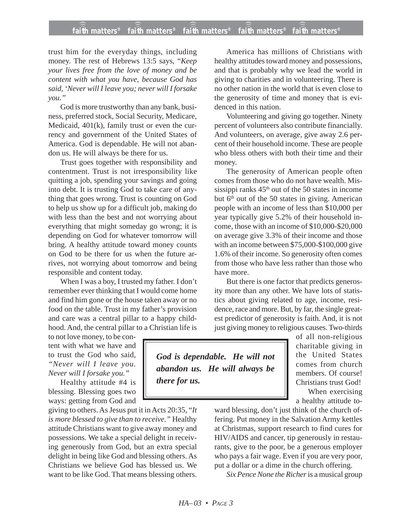## **faith matters® faith matters® faith matters® faith matters® faith matters®** ))) ))) ))) ))) )))

trust him for the everyday things, including money. The rest of Hebrews 13:5 says, "*Keep your lives free from the love of money and be content with what you have, because God has said, 'Never will I leave you; never will I forsake you."*

God is more trustworthy than any bank, business, preferred stock, Social Security, Medicare, Medicaid, 401(k), family trust or even the currency and government of the United States of America. God is dependable. He will not abandon us. He will always be there for us.

Trust goes together with responsibility and contentment. Trust is not irresponsibility like quitting a job, spending your savings and going into debt. It is trusting God to take care of anything that goes wrong. Trust is counting on God to help us show up for a difficult job, making do with less than the best and not worrying about everything that might someday go wrong; it is depending on God for whatever tomorrow will bring. A healthy attitude toward money counts on God to be there for us when the future arrives, not worrying about tomorrow and being responsible and content today.

When I was a boy, I trusted my father. I don't remember ever thinking that I would come home and find him gone or the house taken away or no food on the table. Trust in my father's provision and care was a central pillar to a happy childhood. And, the central pillar to a Christian life is

to not love money, to be content with what we have and to trust the God who said, *"Never will I leave you. Never will I forsake you."*

Healthy attitude #4 is blessing. Blessing goes two ways: getting from God and

giving to others. As Jesus put it in Acts 20:35, "*It is more blessed to give than to receive."* Healthy attitude Christians want to give away money and possessions. We take a special delight in receiving generously from God, but an extra special delight in being like God and blessing others. As Christians we believe God has blessed us. We want to be like God. That means blessing others.

America has millions of Christians with healthy attitudes toward money and possessions, and that is probably why we lead the world in giving to charities and in volunteering. There is no other nation in the world that is even close to the generosity of time and money that is evidenced in this nation.

Volunteering and giving go together. Ninety percent of volunteers also contribute financially. And volunteers, on average, give away 2.6 percent of their household income. These are people who bless others with both their time and their money.

The generosity of American people often comes from those who do not have wealth. Mississippi ranks  $45<sup>th</sup>$  out of the 50 states in income but 6<sup>th</sup> out of the 50 states in giving. American people with an income of less than \$10,000 per year typically give 5.2% of their household income, those with an income of \$10,000-\$20,000 on average give 3.3% of their income and those with an income between \$75,000-\$100,000 give 1.6% of their income. So generosity often comes from those who have less rather than those who have more.

But there is one factor that predicts generosity more than any other. We have lots of statistics about giving related to age, income, residence, race and more. But, by far, the single greatest predictor of generosity is faith. And, it is not just giving money to religious causes. Two-thirds

*God is dependable. He will not abandon us. He will always be there for us.*

of all non-religious charitable giving in the United States comes from church members. Of course! Christians trust God! When exercising a healthy attitude to-

ward blessing, don't just think of the church offering. Put money in the Salvation Army kettles at Christmas, support research to find cures for HIV/AIDS and cancer, tip generously in restaurants, give to the poor, be a generous employer who pays a fair wage. Even if you are very poor, put a dollar or a dime in the church offering.

*Six Pence None the Richer* is a musical group